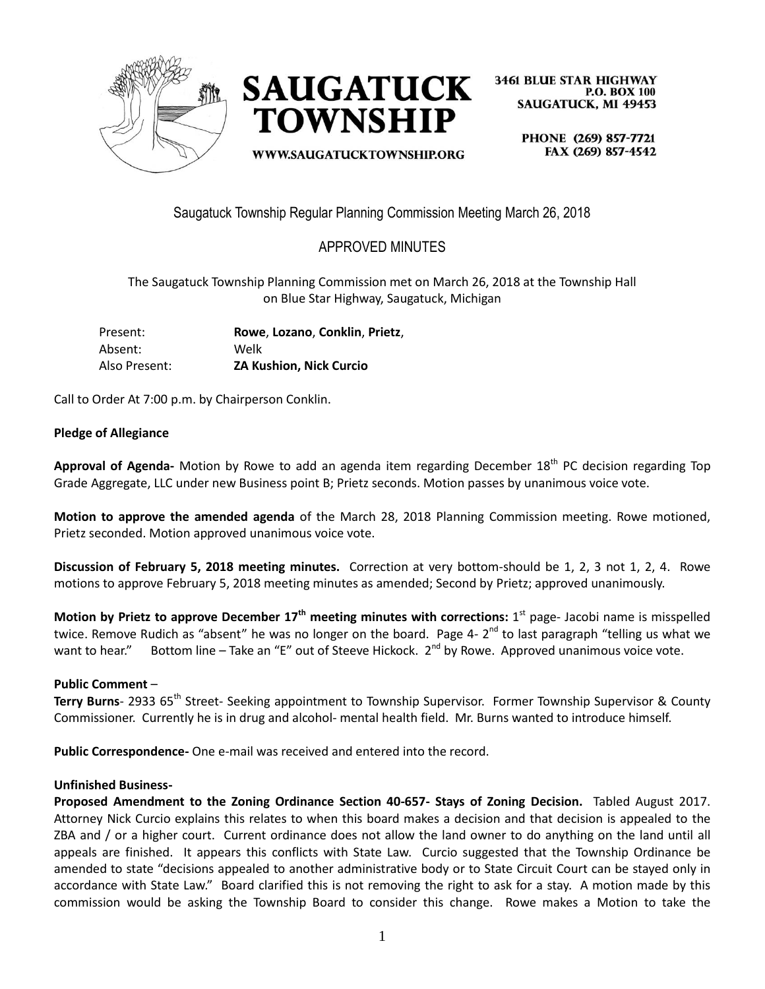



WWW.SAUGATUCKTOWNSHIP.ORG

**3461 BLUE STAR HIGHWAY P.O. BOX 100 SAUGATUCK, MI 49453** 

PHONE (269) 857-7721 FAX (269) 857-4542

Saugatuck Township Regular Planning Commission Meeting March 26, 2018

# APPROVED MINUTES

The Saugatuck Township Planning Commission met on March 26, 2018 at the Township Hall on Blue Star Highway, Saugatuck, Michigan

| Present:      | Rowe, Lozano, Conklin, Prietz, |
|---------------|--------------------------------|
| Absent:       | Welk                           |
| Also Present: | <b>ZA Kushion, Nick Curcio</b> |

Call to Order At 7:00 p.m. by Chairperson Conklin.

### **Pledge of Allegiance**

Approval of Agenda- Motion by Rowe to add an agenda item regarding December 18<sup>th</sup> PC decision regarding Top Grade Aggregate, LLC under new Business point B; Prietz seconds. Motion passes by unanimous voice vote.

**Motion to approve the amended agenda** of the March 28, 2018 Planning Commission meeting. Rowe motioned, Prietz seconded. Motion approved unanimous voice vote.

**Discussion of February 5, 2018 meeting minutes.** Correction at very bottom-should be 1, 2, 3 not 1, 2, 4. Rowe motions to approve February 5, 2018 meeting minutes as amended; Second by Prietz; approved unanimously.

**Motion by Prietz to approve December 17th meeting minutes with corrections:** 1 st page- Jacobi name is misspelled twice. Remove Rudich as "absent" he was no longer on the board. Page 4- 2<sup>nd</sup> to last paragraph "telling us what we want to hear." Bottom line – Take an "E" out of Steeve Hickock. 2<sup>nd</sup> by Rowe. Approved unanimous voice vote.

#### **Public Comment** –

**Terry Burns**- 2933 65<sup>th</sup> Street- Seeking appointment to Township Supervisor. Former Township Supervisor & County Commissioner. Currently he is in drug and alcohol- mental health field. Mr. Burns wanted to introduce himself.

**Public Correspondence-** One e-mail was received and entered into the record.

#### **Unfinished Business-**

**Proposed Amendment to the Zoning Ordinance Section 40-657- Stays of Zoning Decision.** Tabled August 2017. Attorney Nick Curcio explains this relates to when this board makes a decision and that decision is appealed to the ZBA and / or a higher court.Current ordinance does not allow the land owner to do anything on the land until all appeals are finished. It appears this conflicts with State Law. Curcio suggested that the Township Ordinance be amended to state "decisions appealed to another administrative body or to State Circuit Court can be stayed only in accordance with State Law." Board clarified this is not removing the right to ask for a stay. A motion made by this commission would be asking the Township Board to consider this change. Rowe makes a Motion to take the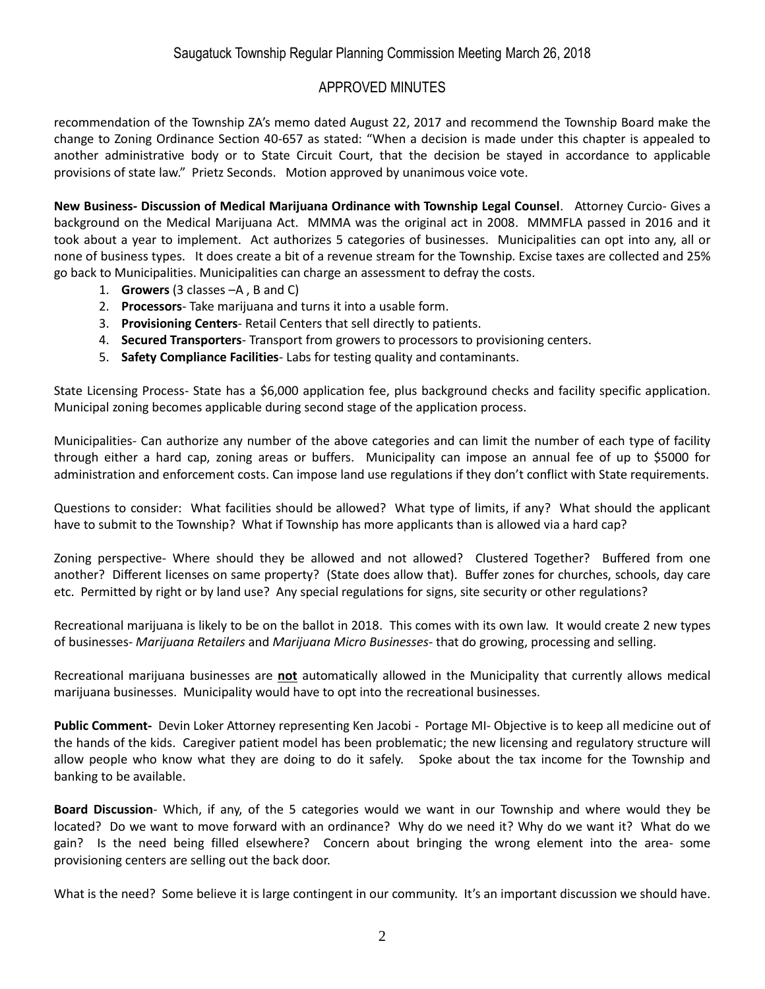### APPROVED MINUTES

recommendation of the Township ZA's memo dated August 22, 2017 and recommend the Township Board make the change to Zoning Ordinance Section 40-657 as stated: "When a decision is made under this chapter is appealed to another administrative body or to State Circuit Court, that the decision be stayed in accordance to applicable provisions of state law." Prietz Seconds. Motion approved by unanimous voice vote.

**New Business- Discussion of Medical Marijuana Ordinance with Township Legal Counsel**. Attorney Curcio- Gives a background on the Medical Marijuana Act. MMMA was the original act in 2008. MMMFLA passed in 2016 and it took about a year to implement. Act authorizes 5 categories of businesses. Municipalities can opt into any, all or none of business types. It does create a bit of a revenue stream for the Township. Excise taxes are collected and 25% go back to Municipalities. Municipalities can charge an assessment to defray the costs.

- 1. **Growers** (3 classes –A , B and C)
- 2. **Processors** Take marijuana and turns it into a usable form.
- 3. **Provisioning Centers** Retail Centers that sell directly to patients.
- 4. **Secured Transporters** Transport from growers to processors to provisioning centers.
- 5. **Safety Compliance Facilities** Labs for testing quality and contaminants.

State Licensing Process- State has a \$6,000 application fee, plus background checks and facility specific application. Municipal zoning becomes applicable during second stage of the application process.

Municipalities- Can authorize any number of the above categories and can limit the number of each type of facility through either a hard cap, zoning areas or buffers. Municipality can impose an annual fee of up to \$5000 for administration and enforcement costs. Can impose land use regulations if they don't conflict with State requirements.

Questions to consider: What facilities should be allowed? What type of limits, if any? What should the applicant have to submit to the Township? What if Township has more applicants than is allowed via a hard cap?

Zoning perspective- Where should they be allowed and not allowed? Clustered Together? Buffered from one another? Different licenses on same property? (State does allow that). Buffer zones for churches, schools, day care etc. Permitted by right or by land use? Any special regulations for signs, site security or other regulations?

Recreational marijuana is likely to be on the ballot in 2018. This comes with its own law. It would create 2 new types of businesses- *Marijuana Retailers* and *Marijuana Micro Businesses*- that do growing, processing and selling.

Recreational marijuana businesses are **not** automatically allowed in the Municipality that currently allows medical marijuana businesses. Municipality would have to opt into the recreational businesses.

**Public Comment-** Devin Loker Attorney representing Ken Jacobi - Portage MI- Objective is to keep all medicine out of the hands of the kids. Caregiver patient model has been problematic; the new licensing and regulatory structure will allow people who know what they are doing to do it safely. Spoke about the tax income for the Township and banking to be available.

**Board Discussion**- Which, if any, of the 5 categories would we want in our Township and where would they be located? Do we want to move forward with an ordinance? Why do we need it? Why do we want it? What do we gain? Is the need being filled elsewhere? Concern about bringing the wrong element into the area- some provisioning centers are selling out the back door.

What is the need? Some believe it is large contingent in our community. It's an important discussion we should have.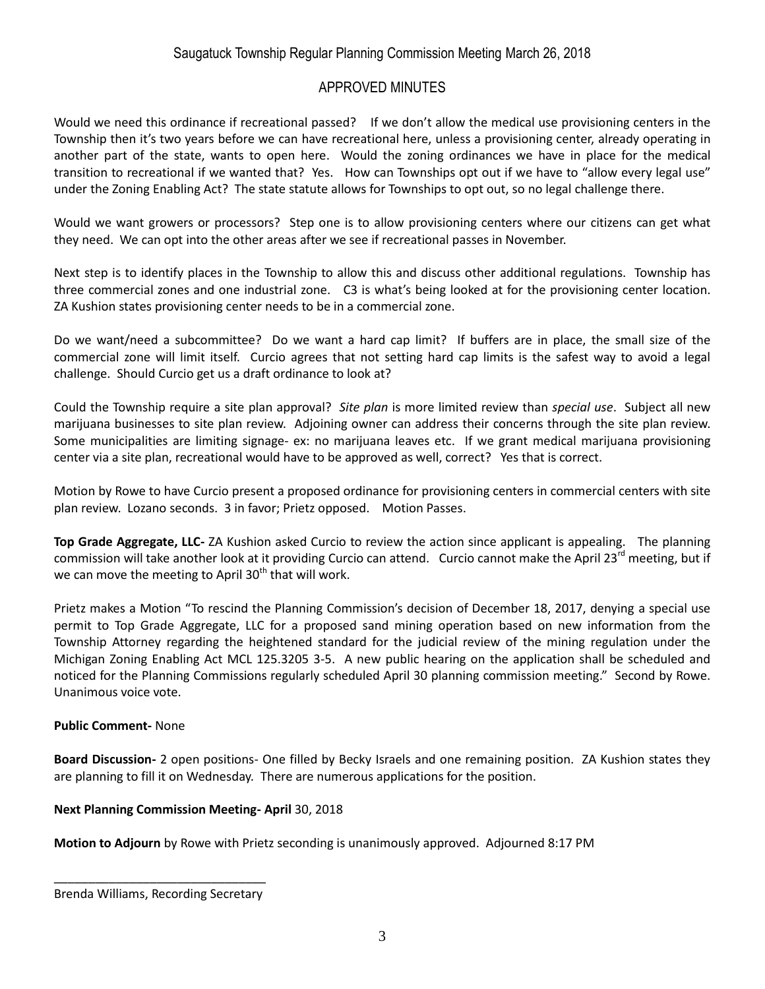## Saugatuck Township Regular Planning Commission Meeting March 26, 2018

### APPROVED MINUTES

Would we need this ordinance if recreational passed? If we don't allow the medical use provisioning centers in the Township then it's two years before we can have recreational here, unless a provisioning center, already operating in another part of the state, wants to open here. Would the zoning ordinances we have in place for the medical transition to recreational if we wanted that? Yes. How can Townships opt out if we have to "allow every legal use" under the Zoning Enabling Act? The state statute allows for Townships to opt out, so no legal challenge there.

Would we want growers or processors? Step one is to allow provisioning centers where our citizens can get what they need. We can opt into the other areas after we see if recreational passes in November.

Next step is to identify places in the Township to allow this and discuss other additional regulations. Township has three commercial zones and one industrial zone. C3 is what's being looked at for the provisioning center location. ZA Kushion states provisioning center needs to be in a commercial zone.

Do we want/need a subcommittee? Do we want a hard cap limit? If buffers are in place, the small size of the commercial zone will limit itself. Curcio agrees that not setting hard cap limits is the safest way to avoid a legal challenge. Should Curcio get us a draft ordinance to look at?

Could the Township require a site plan approval? *Site plan* is more limited review than *special use*. Subject all new marijuana businesses to site plan review. Adjoining owner can address their concerns through the site plan review. Some municipalities are limiting signage- ex: no marijuana leaves etc. If we grant medical marijuana provisioning center via a site plan, recreational would have to be approved as well, correct? Yes that is correct.

Motion by Rowe to have Curcio present a proposed ordinance for provisioning centers in commercial centers with site plan review. Lozano seconds. 3 in favor; Prietz opposed. Motion Passes.

**Top Grade Aggregate, LLC-** ZA Kushion asked Curcio to review the action since applicant is appealing. The planning commission will take another look at it providing Curcio can attend. Curcio cannot make the April 23<sup>rd</sup> meeting, but if we can move the meeting to April  $30<sup>th</sup>$  that will work.

Prietz makes a Motion "To rescind the Planning Commission's decision of December 18, 2017, denying a special use permit to Top Grade Aggregate, LLC for a proposed sand mining operation based on new information from the Township Attorney regarding the heightened standard for the judicial review of the mining regulation under the Michigan Zoning Enabling Act MCL 125.3205 3-5. A new public hearing on the application shall be scheduled and noticed for the Planning Commissions regularly scheduled April 30 planning commission meeting." Second by Rowe. Unanimous voice vote.

#### **Public Comment-** None

**Board Discussion-** 2 open positions- One filled by Becky Israels and one remaining position. ZA Kushion states they are planning to fill it on Wednesday. There are numerous applications for the position.

#### **Next Planning Commission Meeting- April** 30, 2018

**Motion to Adjourn** by Rowe with Prietz seconding is unanimously approved. Adjourned 8:17 PM

\_\_\_\_\_\_\_\_\_\_\_\_\_\_\_\_\_\_\_\_\_\_\_\_\_\_\_\_\_\_\_ Brenda Williams, Recording Secretary